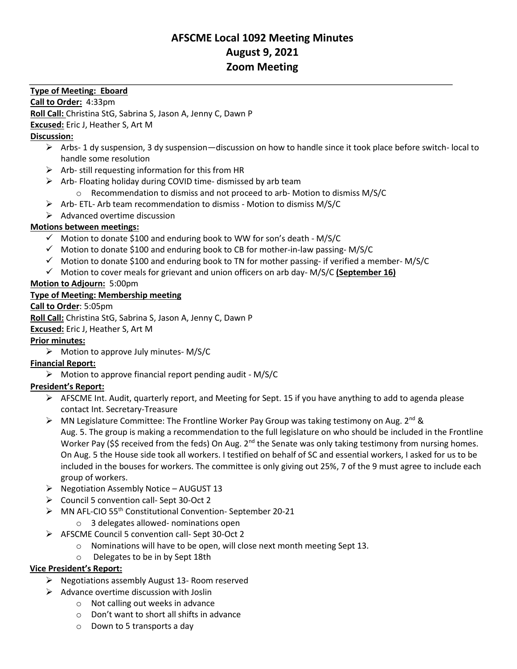# **AFSCME Local 1092 Meeting Minutes August 9, 2021 Zoom Meeting**

#### **Type of Meeting: Eboard**

**Call to Order:** 4:33pm

**Roll Call:** Christina StG, Sabrina S, Jason A, Jenny C, Dawn P

**Excused:** Eric J, Heather S, Art M

### **Discussion:**

- ➢ Arbs- 1 dy suspension, 3 dy suspension—discussion on how to handle since it took place before switch- local to handle some resolution
- $\triangleright$  Arb- still requesting information for this from HR
- ➢ Arb- Floating holiday during COVID time- dismissed by arb team
	- o Recommendation to dismiss and not proceed to arb- Motion to dismiss M/S/C
- ➢ Arb- ETL- Arb team recommendation to dismiss Motion to dismiss M/S/C
- $\triangleright$  Advanced overtime discussion

## **Motions between meetings:**

- $\checkmark$  Motion to donate \$100 and enduring book to WW for son's death M/S/C
- ✓ Motion to donate \$100 and enduring book to CB for mother-in-law passing- M/S/C
- $\checkmark$  Motion to donate \$100 and enduring book to TN for mother passing- if verified a member-M/S/C
- ✓ Motion to cover meals for grievant and union officers on arb day- M/S/C **(September 16)**

### **Motion to Adjourn:** 5:00pm

### **Type of Meeting: Membership meeting**

#### **Call to Order**: 5:05pm

**Roll Call:** Christina StG, Sabrina S, Jason A, Jenny C, Dawn P

#### **Excused:** Eric J, Heather S, Art M

## **Prior minutes:**

 $\triangleright$  Motion to approve July minutes- M/S/C

## **Financial Report:**

➢ Motion to approve financial report pending audit - M/S/C

## **President's Report:**

- ➢ AFSCME Int. Audit, quarterly report, and Meeting for Sept. 15 if you have anything to add to agenda please contact Int. Secretary-Treasure
- $\triangleright$  MN Legislature Committee: The Frontline Worker Pay Group was taking testimony on Aug. 2<sup>nd</sup> & Aug. 5. The group is making a recommendation to the full legislature on who should be included in the Frontline Worker Pay (\$\$ received from the feds) On Aug.  $2^{nd}$  the Senate was only taking testimony from nursing homes. On Aug. 5 the House side took all workers. I testified on behalf of SC and essential workers, I asked for us to be included in the bouses for workers. The committee is only giving out 25%, 7 of the 9 must agree to include each group of workers.
- $\triangleright$  Negotiation Assembly Notice AUGUST 13
- ➢ Council 5 convention call- Sept 30-Oct 2
- ➢ MN AFL-CIO 55th Constitutional Convention- September 20-21
	- o 3 delegates allowed- nominations open
- ➢ AFSCME Council 5 convention call- Sept 30-Oct 2
	- $\circ$  Nominations will have to be open, will close next month meeting Sept 13.
	- o Delegates to be in by Sept 18th

#### **Vice President's Report:**

- ➢ Negotiations assembly August 13- Room reserved
- $\triangleright$  Advance overtime discussion with Joslin
	- o Not calling out weeks in advance
	- o Don't want to short all shifts in advance
	- o Down to 5 transports a day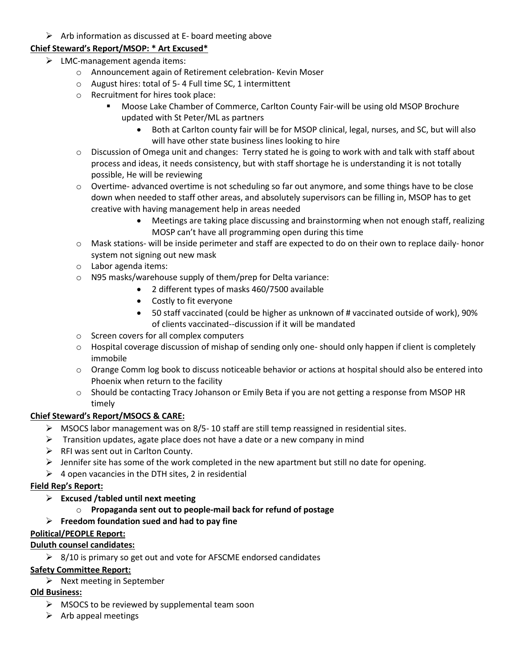$\triangleright$  Arb information as discussed at E- board meeting above

#### **Chief Steward's Report/MSOP: \* Art Excused\***

- $\triangleright$  LMC-management agenda items:
	- o Announcement again of Retirement celebration- Kevin Moser
	- o August hires: total of 5- 4 Full time SC, 1 intermittent
	- o Recruitment for hires took place:
		- Moose Lake Chamber of Commerce, Carlton County Fair-will be using old MSOP Brochure updated with St Peter/ML as partners
			- Both at Carlton county fair will be for MSOP clinical, legal, nurses, and SC, but will also will have other state business lines looking to hire
	- o Discussion of Omega unit and changes: Terry stated he is going to work with and talk with staff about process and ideas, it needs consistency, but with staff shortage he is understanding it is not totally possible, He will be reviewing
	- $\circ$  Overtime- advanced overtime is not scheduling so far out anymore, and some things have to be close down when needed to staff other areas, and absolutely supervisors can be filling in, MSOP has to get creative with having management help in areas needed
		- Meetings are taking place discussing and brainstorming when not enough staff, realizing MOSP can't have all programming open during this time
	- o Mask stations- will be inside perimeter and staff are expected to do on their own to replace daily- honor system not signing out new mask
	- o Labor agenda items:
	- o N95 masks/warehouse supply of them/prep for Delta variance:
		- 2 different types of masks 460/7500 available
		- Costly to fit everyone
		- 50 staff vaccinated (could be higher as unknown of # vaccinated outside of work), 90% of clients vaccinated--discussion if it will be mandated
	- o Screen covers for all complex computers
	- $\circ$  Hospital coverage discussion of mishap of sending only one-should only happen if client is completely immobile
	- $\circ$  Orange Comm log book to discuss noticeable behavior or actions at hospital should also be entered into Phoenix when return to the facility
	- o Should be contacting Tracy Johanson or Emily Beta if you are not getting a response from MSOP HR timely

## **Chief Steward's Report/MSOCS & CARE:**

- $\triangleright$  MSOCS labor management was on 8/5-10 staff are still temp reassigned in residential sites.
- $\triangleright$  Transition updates, agate place does not have a date or a new company in mind
- ➢ RFI was sent out in Carlton County.
- $\triangleright$  Jennifer site has some of the work completed in the new apartment but still no date for opening.
- $\triangleright$  4 open vacancies in the DTH sites, 2 in residential

## **Field Rep's Report:**

- ➢ **Excused /tabled until next meeting**
	- o **Propaganda sent out to people-mail back for refund of postage**

## ➢ **Freedom foundation sued and had to pay fine**

#### **Political/PEOPLE Report:**

#### **Duluth counsel candidates:**

 $\geq$  8/10 is primary so get out and vote for AFSCME endorsed candidates

## **Safety Committee Report:**

➢ Next meeting in September

## **Old Business:**

- $\triangleright$  MSOCS to be reviewed by supplemental team soon
- $\triangleright$  Arb appeal meetings